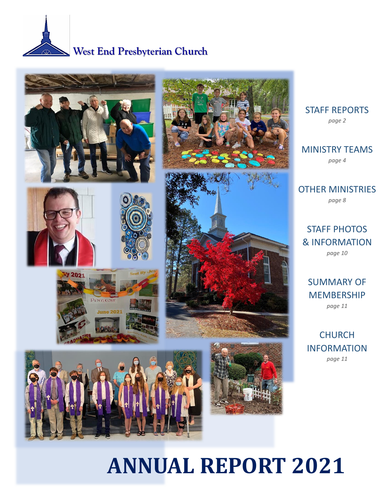



STAFF REPORTS *page 2*

MINISTRY TEAMS *page 4*

OTHER MINISTRIES *page 8*

STAFF PHOTOS & INFORMATION *page 10*

SUMMARY OF MEMBERSHIP *page 11*

CHURCH INFORMATION *page 11*

# **ANNUAL REPORT 2021**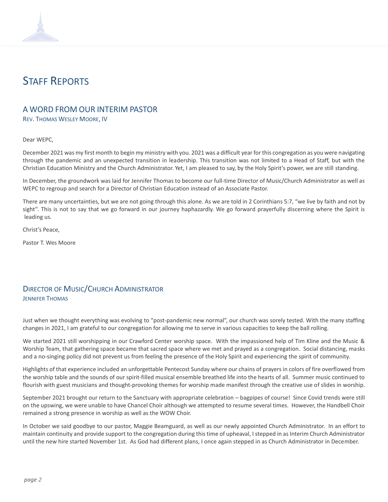# STAFF REPORTS

# A WORD FROM OUR INTERIM PASTOR

REV. THOMAS WESLEY MOORE, IV

#### Dear WEPC,

December 2021 was my first month to begin my ministry with you. 2021 was a difficult year for this congregation as you were navigating through the pandemic and an unexpected transition in leadership. This transition was not limited to a Head of Staff, but with the Christian Education Ministry and the Church Administrator. Yet, I am pleased to say, by the Holy Spirit's power, we are still standing.

In December, the groundwork was laid for Jennifer Thomas to become our full-time Director of Music/Church Administrator as well as WEPC to regroup and search for a Director of Christian Education instead of an Associate Pastor.

There are many uncertainties, but we are not going through this alone. As we are told in 2 Corinthians 5:7, "we live by faith and not by sight". This is not to say that we go forward in our journey haphazardly. We go forward prayerfully discerning where the Spirit is leading us.

Christ's Peace,

Pastor T. Wes Moore

### DIRECTOR OF MUSIC/CHURCH ADMINISTRATOR JENNIFER THOMAS

Just when we thought everything was evolving to "post-pandemic new normal", our church was sorely tested. With the many staffing changes in 2021, I am grateful to our congregation for allowing me to serve in various capacities to keep the ball rolling.

We started 2021 still worshipping in our Crawford Center worship space. With the impassioned help of Tim Kline and the Music & Worship Team, that gathering space became that sacred space where we met and prayed as a congregation. Social distancing, masks and a no-singing policy did not prevent us from feeling the presence of the Holy Spirit and experiencing the spirit of community.

Highlights of that experience included an unforgettable Pentecost Sunday where our chains of prayers in colors of fire overflowed from the worship table and the sounds of our spirit-filled musical ensemble breathed life into the hearts of all. Summer music continued to flourish with guest musicians and thought-provoking themes for worship made manifest through the creative use of slides in worship.

September 2021 brought our return to the Sanctuary with appropriate celebration – bagpipes of course! Since Covid trends were still on the upswing, we were unable to have Chancel Choir although we attempted to resume several times. However, the Handbell Choir remained a strong presence in worship as well as the WOW Choir.

In October we said goodbye to our pastor, Maggie Beamguard, as well as our newly appointed Church Administrator. In an effort to maintain continuity and provide support to the congregation during this time of upheaval, I stepped in as Interim Church Administrator until the new hire started November 1st. As God had different plans, I once again stepped in as Church Administrator in December.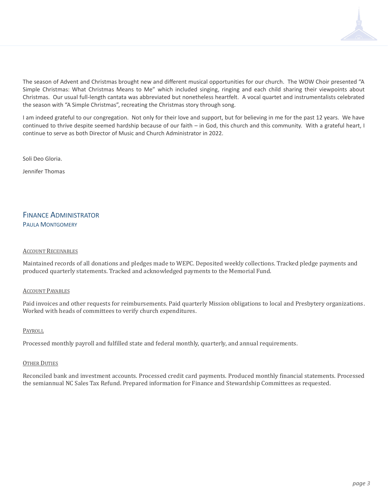The season of Advent and Christmas brought new and different musical opportunities for our church. The WOW Choir presented "A Simple Christmas: What Christmas Means to Me" which included singing, ringing and each child sharing their viewpoints about Christmas. Our usual full-length cantata was abbreviated but nonetheless heartfelt. A vocal quartet and instrumentalists celebrated the season with "A Simple Christmas", recreating the Christmas story through song.

I am indeed grateful to our congregation. Not only for their love and support, but for believing in me for the past 12 years. We have continued to thrive despite seemed hardship because of our faith – in God, this church and this community. With a grateful heart, I continue to serve as both Director of Music and Church Administrator in 2022.

Soli Deo Gloria.

Jennifer Thomas

### FINANCE ADMINISTRATOR PAULA MONTGOMERY

#### ACCOUNT RECEIVABLES

Maintained records of all donations and pledges made to WEPC. Deposited weekly collections. Tracked pledge payments and produced quarterly statements. Tracked and acknowledged payments to the Memorial Fund.

#### ACCOUNT PAYABLES

Paid invoices and other requests for reimbursements. Paid quarterly Mission obligations to local and Presbytery organizations. Worked with heads of committees to verify church expenditures.

#### PAYROLL

Processed monthly payroll and fulfilled state and federal monthly, quarterly, and annual requirements.

#### OTHER DUTIES

Reconciled bank and investment accounts. Processed credit card payments. Produced monthly financial statements. Processed the semiannual NC Sales Tax Refund. Prepared information for Finance and Stewardship Committees as requested.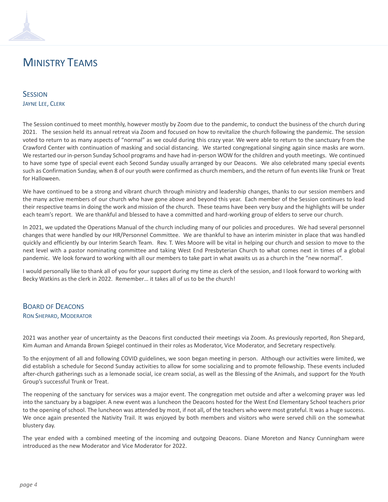# MINISTRY TEAMS

**SESSION** JAYNE LEE, CLERK

The Session continued to meet monthly, however mostly by Zoom due to the pandemic, to conduct the business of the church during 2021. The session held its annual retreat via Zoom and focused on how to revitalize the church following the pandemic. The session voted to return to as many aspects of "normal" as we could during this crazy year. We were able to return to the sanctuary from the Crawford Center with continuation of masking and social distancing. We started congregational singing again since masks are worn. We restarted our in-person Sunday School programs and have had in-person WOW for the children and youth meetings. We continued to have some type of special event each Second Sunday usually arranged by our Deacons. We also celebrated many special events such as Confirmation Sunday, when 8 of our youth were confirmed as church members, and the return of fun events like Trunk or Treat for Halloween.

We have continued to be a strong and vibrant church through ministry and leadership changes, thanks to our session members and the many active members of our church who have gone above and beyond this year. Each member of the Session continues to lead their respective teams in doing the work and mission of the church. These teams have been very busy and the highlights will be under each team's report. We are thankful and blessed to have a committed and hard-working group of elders to serve our church.

In 2021, we updated the Operations Manual of the church including many of our policies and procedures. We had several personnel changes that were handled by our HR/Personnel Committee. We are thankful to have an interim minister in place that was handled quickly and efficiently by our Interim Search Team. Rev. T. Wes Moore will be vital in helping our church and session to move to the next level with a pastor nominating committee and taking West End Presbyterian Church to what comes next in times of a global pandemic. We look forward to working with all our members to take part in what awaits us as a church in the "new normal".

I would personally like to thank all of you for your support during my time as clerk of the session, and I look forward to working with Becky Watkins as the clerk in 2022. Remember… it takes all of us to be the church!

### BOARD OF DEACONS RON SHEPARD, MODERATOR

2021 was another year of uncertainty as the Deacons first conducted their meetings via Zoom. As previously reported, Ron Shepard, Kim Auman and Amanda Brown Spiegel continued in their roles as Moderator, Vice Moderator, and Secretary respectively.

To the enjoyment of all and following COVID guidelines, we soon began meeting in person. Although our activities were limited, we did establish a schedule for Second Sunday activities to allow for some socializing and to promote fellowship. These events included after-church gatherings such as a lemonade social, ice cream social, as well as the Blessing of the Animals, and support for the Youth Group's successful Trunk or Treat.

The reopening of the sanctuary for services was a major event. The congregation met outside and after a welcoming prayer was led into the sanctuary by a bagpiper. A new event was a luncheon the Deacons hosted for the West End Elementary School teachers prior to the opening of school. The luncheon was attended by most, if not all, of the teachers who were most grateful. It was a huge success. We once again presented the Nativity Trail. It was enjoyed by both members and visitors who were served chili on the somewhat blustery day.

The year ended with a combined meeting of the incoming and outgoing Deacons. Diane Moreton and Nancy Cunningham were introduced as the new Moderator and Vice Moderator for 2022.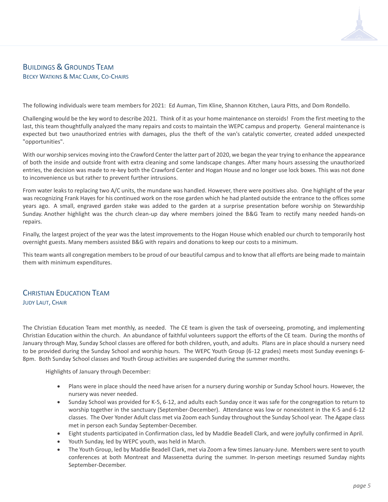### BUILDINGS & GROUNDS TEAM BECKY WATKINS & MAC CLARK, CO-CHAIRS

The following individuals were team members for 2021: Ed Auman, Tim Kline, Shannon Kitchen, Laura Pitts, and Dom Rondello.

Challenging would be the key word to describe 2021. Think of it as your home maintenance on steroids! From the first meeting to the last, this team thoughtfully analyzed the many repairs and costs to maintain the WEPC campus and property. General maintenance is expected but two unauthorized entries with damages, plus the theft of the van's catalytic converter, created added unexpected "opportunities".

With our worship services moving into the Crawford Center the latter part of 2020, we began the year trying to enhance the appearance of both the inside and outside front with extra cleaning and some landscape changes. After many hours assessing the unauthorized entries, the decision was made to re-key both the Crawford Center and Hogan House and no longer use lock boxes. This was not done to inconvenience us but rather to prevent further intrusions.

From water leaks to replacing two A/C units, the mundane was handled. However, there were positives also. One highlight of the year was recognizing Frank Hayes for his continued work on the rose garden which he had planted outside the entrance to the offices some years ago. A small, engraved garden stake was added to the garden at a surprise presentation before worship on Stewardship Sunday. Another highlight was the church clean-up day where members joined the B&G Team to rectify many needed hands-on repairs.

Finally, the largest project of the year was the latest improvements to the Hogan House which enabled our church to temporarily host overnight guests. Many members assisted B&G with repairs and donations to keep our costs to a minimum.

This team wants all congregation members to be proud of our beautiful campus and to know that all efforts are being made to maintain them with minimum expenditures.

## CHRISTIAN EDUCATION TEAM JUDY LAUT, CHAIR

The Christian Education Team met monthly, as needed. The CE team is given the task of overseeing, promoting, and implementing Christian Education within the church. An abundance of faithful volunteers support the efforts of the CE team. During the months of January through May, Sunday School classes are offered for both children, youth, and adults. Plans are in place should a nursery need to be provided during the Sunday School and worship hours. The WEPC Youth Group (6-12 grades) meets most Sunday evenings 6- 8pm. Both Sunday School classes and Youth Group activities are suspended during the summer months.

Highlights of January through December:

- Plans were in place should the need have arisen for a nursery during worship or Sunday School hours. However, the nursery was never needed.
- Sunday School was provided for K-5, 6-12, and adults each Sunday once it was safe for the congregation to return to worship together in the sanctuary (September-December). Attendance was low or nonexistent in the K-5 and 6-12 classes. The Over Yonder Adult class met via Zoom each Sunday throughout the Sunday School year. The Agape class met in person each Sunday September-December.
- Eight students participated in Confirmation class, led by Maddie Beadell Clark, and were joyfully confirmed in April.
- Youth Sunday, led by WEPC youth, was held in March.
- The Youth Group, led by Maddie Beadell Clark, met via Zoom a few times January-June. Members were sent to youth conferences at both Montreat and Massenetta during the summer. In-person meetings resumed Sunday nights September-December.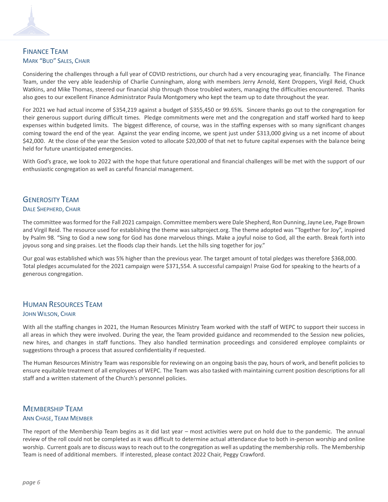# FINANCE TEAM MARK "BUD" SALES, CHAIR

Considering the challenges through a full year of COVID restrictions, our church had a very encouraging year, financially. The Finance Team, under the very able leadership of Charlie Cunningham, along with members Jerry Arnold, Kent Droppers, Virgil Reid, Chuck Watkins, and Mike Thomas, steered our financial ship through those troubled waters, managing the difficulties encountered. Thanks also goes to our excellent Finance Administrator Paula Montgomery who kept the team up to date throughout the year.

For 2021 we had actual income of \$354,219 against a budget of \$355,450 or 99.65%. Sincere thanks go out to the congregation for their generous support during difficult times. Pledge commitments were met and the congregation and staff worked hard to keep expenses within budgeted limits. The biggest difference, of course, was in the staffing expenses with so many significant changes coming toward the end of the year. Against the year ending income, we spent just under \$313,000 giving us a net income of about \$42,000. At the close of the year the Session voted to allocate \$20,000 of that net to future capital expenses with the balance being held for future unanticipated emergencies.

With God's grace, we look to 2022 with the hope that future operational and financial challenges will be met with the support of our enthusiastic congregation as well as careful financial management.

# GENEROSITY TEAM

#### DALE SHEPHERD, CHAIR

The committee was formed for the Fall 2021 campaign. Committee members were Dale Shepherd, Ron Dunning, Jayne Lee, Page Brown and Virgil Reid. The resource used for establishing the theme was saltproject.org. The theme adopted was "Together for Joy", inspired by Psalm 98. "Sing to God a new song for God has done marvelous things. Make a joyful noise to God, all the earth. Break forth into joyous song and sing praises. Let the floods clap their hands. Let the hills sing together for joy."

Our goal was established which was 5% higher than the previous year. The target amount of total pledges was therefore \$368,000. Total pledges accumulated for the 2021 campaign were \$371,554. A successful campaign! Praise God for speaking to the hearts of a generous congregation.

## HUMAN RESOURCES TEAM JOHN WILSON, CHAIR

With all the staffing changes in 2021, the Human Resources Ministry Team worked with the staff of WEPC to support their success in all areas in which they were involved. During the year, the Team provided guidance and recommended to the Session new policies, new hires, and changes in staff functions. They also handled termination proceedings and considered employee complaints or suggestions through a process that assured confidentiality if requested.

The Human Resources Ministry Team was responsible for reviewing on an ongoing basis the pay, hours of work, and benefit policies to ensure equitable treatment of all employees of WEPC. The Team was also tasked with maintaining current position descriptions for all staff and a written statement of the Church's personnel policies.

# MEMBERSHIP TEAM

#### ANN CHASE, TEAM MEMBER

The report of the Membership Team begins as it did last year – most activities were put on hold due to the pandemic. The annual review of the roll could not be completed as it was difficult to determine actual attendance due to both in-person worship and online worship. Current goals are to discuss ways to reach out to the congregation as well as updating the membership rolls. The Membership Team is need of additional members. If interested, please contact 2022 Chair, Peggy Crawford.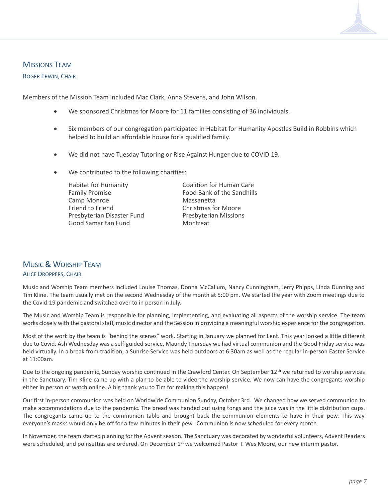#### MISSIONS TEAM

#### ROGER ERWIN, CHAIR

Members of the Mission Team included Mac Clark, Anna Stevens, and John Wilson.

- We sponsored Christmas for Moore for 11 families consisting of 36 individuals.
- Six members of our congregation participated in Habitat for Humanity Apostles Build in Robbins which helped to build an affordable house for a qualified family.
- We did not have Tuesday Tutoring or Rise Against Hunger due to COVID 19.
- We contributed to the following charities:

Family Promise **Food Bank of the Sandhills** Camp Monroe **Massanetta** Friend to Friend Christmas for Moore Presbyterian Disaster Fund Presbyterian Missions Good Samaritan Fund Montreat

Habitat for Humanity Coalition for Human Care

# MUSIC & WORSHIP TEAM ALICE DROPPERS, CHAIR

Music and Worship Team members included Louise Thomas, Donna McCallum, Nancy Cunningham, Jerry Phipps, Linda Dunning and Tim Kline. The team usually met on the second Wednesday of the month at 5:00 pm. We started the year with Zoom meetings due to the Covid-19 pandemic and switched over to in person in July.

The Music and Worship Team is responsible for planning, implementing, and evaluating all aspects of the worship service. The team works closely with the pastoral staff, music director and the Session in providing a meaningful worship experience for the congregation.

Most of the work by the team is "behind the scenes" work. Starting in January we planned for Lent. This year looked a little different due to Covid. Ash Wednesday was a self-guided service, Maundy Thursday we had virtual communion and the Good Friday service was held virtually. In a break from tradition, a Sunrise Service was held outdoors at 6:30am as well as the regular in-person Easter Service at 11:00am.

Due to the ongoing pandemic, Sunday worship continued in the Crawford Center. On September 12<sup>th</sup> we returned to worship services in the Sanctuary. Tim Kline came up with a plan to be able to video the worship service. We now can have the congregants worship either in person or watch online. A big thank you to Tim for making this happen!

Our first in-person communion was held on Worldwide Communion Sunday, October 3rd. We changed how we served communion to make accommodations due to the pandemic. The bread was handed out using tongs and the juice was in the little distribution cups. The congregants came up to the communion table and brought back the communion elements to have in their pew. This way everyone's masks would only be off for a few minutes in their pew. Communion is now scheduled for every month.

In November, the team started planning for the Advent season. The Sanctuary was decorated by wonderful volunteers, Advent Readers were scheduled, and poinsettias are ordered. On December  $1<sup>st</sup>$  we welcomed Pastor T. Wes Moore, our new interim pastor.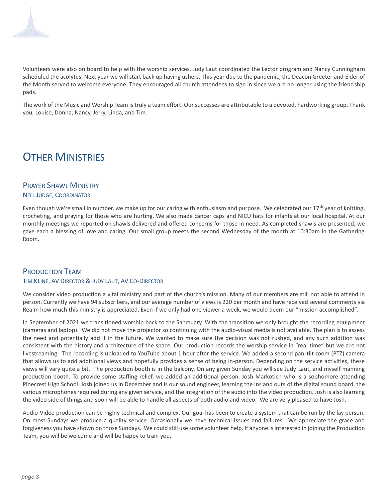

Volunteers were also on board to help with the worship services. Judy Laut coordinated the Lector program and Nancy Cunningham scheduled the acolytes. Next year we will start back up having ushers. This year due to the pandemic, the Deacon Greeter and Elder of the Month served to welcome everyone. They encouraged all church attendees to sign in since we are no longer using the friendship pads.

The work of the Music and Worship Team is truly a team effort. Our successes are attributable to a devoted, hardworking group. Thank you, Louise, Donna, Nancy, Jerry, Linda, and Tim.

# **OTHER MINISTRIES**

# PRAYER SHAWL MINISTRY

#### NELL JUDGE, COORDINATOR

Even though we're small in number, we make up for our caring with enthusiasm and purpose. We celebrated our  $17<sup>th</sup>$  year of knitting, crocheting, and praying for those who are hurting. We also made cancer caps and NICU hats for infants at our local hospital. At our monthly meetings we reported on shawls delivered and offered concerns for those in need. As completed shawls are presented, we gave each a blessing of love and caring. Our small group meets the second Wednesday of the month at 10:30am in the Gathering Room.

#### PRODUCTION TEAM TIM KLINE, AV DIRECTOR & JUDY LAUT, AV CO-DIRECTOR

We consider video production a vital ministry and part of the church's mission. Many of our members are still not able to attend in person. Currently we have 94 subscribers, and our average number of views is 220 per month and have received several comments via Realm how much this ministry is appreciated. Even if we only had one viewer a week, we would deem our "mission accomplished".

In September of 2021 we transitioned worship back to the Sanctuary. With the transition we only brought the recording equipment (cameras and laptop). We did not move the projector so continuing with the audio-visual media is not available. The plan is to assess the need and potentially add it in the future. We wanted to make sure the decision was not rushed, and any such addition was consistent with the history and architecture of the space. Our production records the worship service in "real time" but we are not livestreaming. The recording is uploaded to YouTube about 1 hour after the service. We added a second pan-tilt-zoom (PTZ) camera that allows us to add additional views and hopefully provides a sense of being in-person. Depending on the service activities, these views will vary quite a bit. The production booth is in the balcony. On any given Sunday you will see Judy Laut, and myself manning production booth. To provide some staffing relief, we added an additional person. Josh Markotich who is a sophomore attending Pinecrest High School. Josh joined us in December and is our sound engineer, learning the ins and outs of the digital sound board, the various microphones required during any given service, and the integration of the audio into the video production. Josh is also learning the video side of things and soon will be able to handle all aspects of both audio and video. We are very pleased to have Josh.

Audio-Video production can be highly technical and complex. Our goal has been to create a system that can be run by the lay person. On most Sundays we produce a quality service. Occasionally we have technical issues and failures. We appreciate the grace and forgiveness you have shown on those Sundays. We could still use some volunteer help. If anyone is interested in joining the Production Team, you will be welcome and will be happy to train you.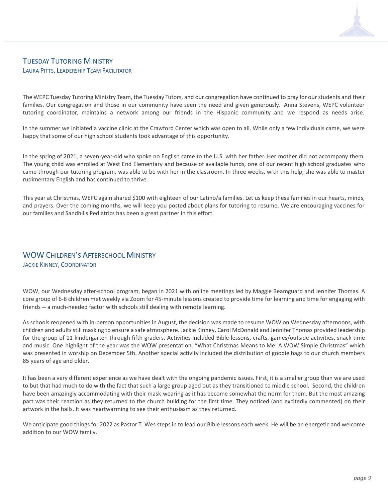### TUESDAY TUTORING MINISTRY LAURA PITTS, LEADERSHIP TEAM FACILITATOR

The WEPC Tuesday Tutoring Ministry Team, the Tuesday Tutors, and our congregation have continued to pray for our students and their families. Our congregation and those in our community have seen the need and given generously. Anna Stevens, WEPC volunteer tutoring coordinator, maintains a network among our friends in the Hispanic community and we respond as needs arise.

In the summer we initiated a vaccine clinic at the Crawford Center which was open to all. While only a few individuals came, we were happy that some of our high school students took advantage of this opportunity.

In the spring of 2021, a seven-year-old who spoke no English came to the U.S. with her father. Her mother did not accompany them. The young child was enrolled at West End Elementary and because of available funds, one of our recent high school graduates who came through our tutoring program, was able to be with her in the classroom. In three weeks, with this help, she was able to master rudimentary English and has continued to thrive.

This year at Christmas, WEPC again shared \$100 with eighteen of our Latino/a families. Let us keep these families in our hearts, minds, and prayers. Over the coming months, we will keep you posted about plans for tutoring to resume. We are encouraging vaccines for our families and Sandhills Pediatrics has been a great partner in this effort.

# WOW CHILDREN'S AFTERSCHOOL MINISTRY

JACKIE KINNEY, COORDINATOR

WOW, our Wednesday after-school program, began in 2021 with online meetings led by Maggie Beamguard and Jennifer Thomas. A core group of 6-8 children met weekly via Zoom for 45-minute lessons created to provide time for learning and time for engaging with friends -- a much-needed factor with schools still dealing with remote learning.

As schools reopened with in-person opportunities in August, the decision was made to resume WOW on Wednesday afternoons, with children and adultsstill masking to ensure a safe atmosphere. Jackie Kinney, Carol McDonald and Jennifer Thomas provided leadership for the group of 11 kindergarten through fifth graders. Activities included Bible lessons, crafts, games/outside activities, snack time and music. One highlight of the year was the WOW presentation, "What Christmas Means to Me: A WOW Simple Christmas" which was presented in worship on December 5th. Another special activity included the distribution of goodie bags to our church members 85 years of age and older.

It has been a very different experience as we have dealt with the ongoing pandemic issues. First, it is a smaller group than we are used to but that had much to do with the fact that such a large group aged out as they transitioned to middle school. Second, the children have been amazingly accommodating with their mask-wearing as it has become somewhat the norm for them. But the most amazing part was their reaction as they returned to the church building for the first time. They noticed (and excitedly commented) on their artwork in the halls. It was heartwarming to see their enthusiasm as they returned.

We anticipate good things for 2022 as Pastor T. Wes steps in to lead our Bible lessons each week. He will be an energetic and welcome addition to our WOW family.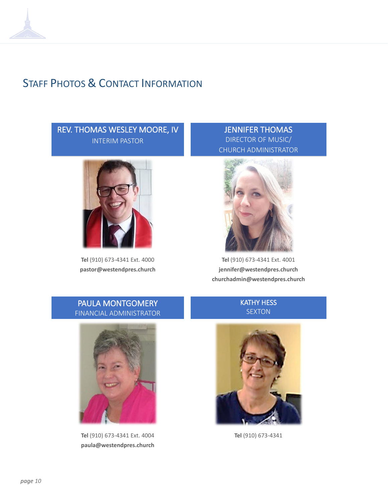# STAFF PHOTOS & CONTACT INFORMATION

# REV. THOMAS WESLEY MOORE, IV INTERIM PASTOR



**Tel** (910) 673-4341 Ext. 4000 **pastor@westendpres.church**

JENNIFER THOMAS DIRECTOR OF MUSIC/ CHURCH ADMINISTRATOR



**Tel** (910) 673-4341 Ext. 4001 **jennifer@westendpres.church churchadmin@westendpres.church**

# PAULA MONTGOMERY FINANCIAL ADMINISTRATOR



**Tel** (910) 673-4341 Ext. 4004 **paula@westendpres.church**

# KATHY HESS SEXTON



**Tel** (910) 673-4341